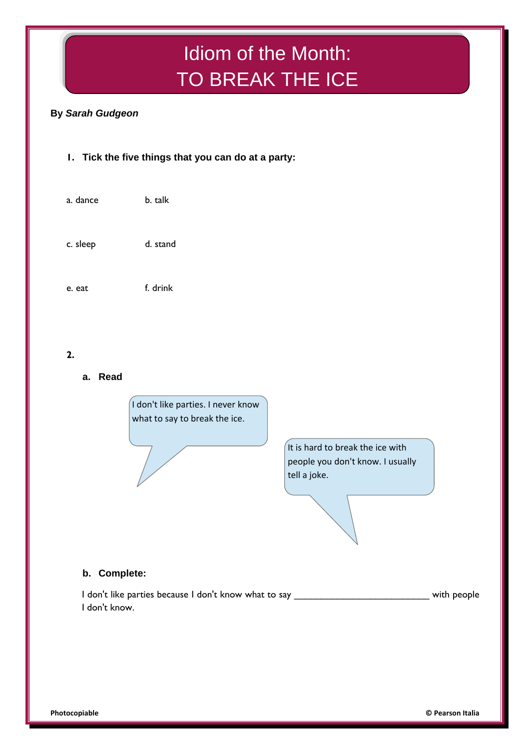# Idiom of the Month: TO BREAK THE ICE

# **By** *Sarah Gudgeon*

# **1. Tick the five things that you can do at a party:**

a. dance b. talk c. sleep d. stand e. eat f. drink

# **2.**

**a. Read**



It is hard to break the ice with people you don't know. I usually tell a joke.

# **b. Complete:**

I don't like parties because I don't know what to say \_\_\_\_\_\_\_\_\_\_\_\_\_\_\_\_\_\_\_\_\_\_\_\_\_\_\_\_\_\_\_\_\_\_ with people I don't know.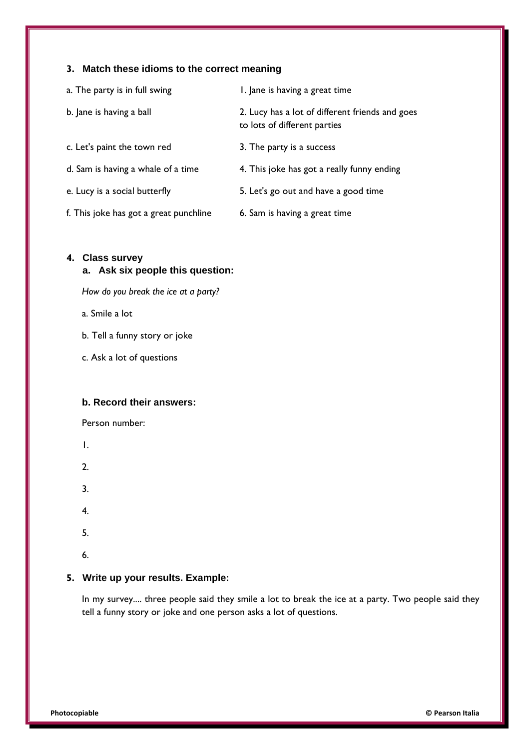## **3. Match these idioms to the correct meaning**

| a. The party is in full swing          | 1. Jane is having a great time                                                  |
|----------------------------------------|---------------------------------------------------------------------------------|
| b. Jane is having a ball               | 2. Lucy has a lot of different friends and goes<br>to lots of different parties |
| c. Let's paint the town red            | 3. The party is a success                                                       |
| d. Sam is having a whale of a time     | 4. This joke has got a really funny ending                                      |
| e. Lucy is a social butterfly          | 5. Let's go out and have a good time                                            |
| f. This joke has got a great punchline | 6. Sam is having a great time                                                   |

#### **4. Class survey**

#### **a. Ask six people this question:**

*How do you break the ice at a party?*

a. Smile a lot

b. Tell a funny story or joke

c. Ask a lot of questions

#### **b. Record their answers:**

Person number:

1.

2.

3.

4.

5.

6.

#### **5. Write up your results. Example:**

In my survey.... three people said they smile a lot to break the ice at a party. Two people said they tell a funny story or joke and one person asks a lot of questions.